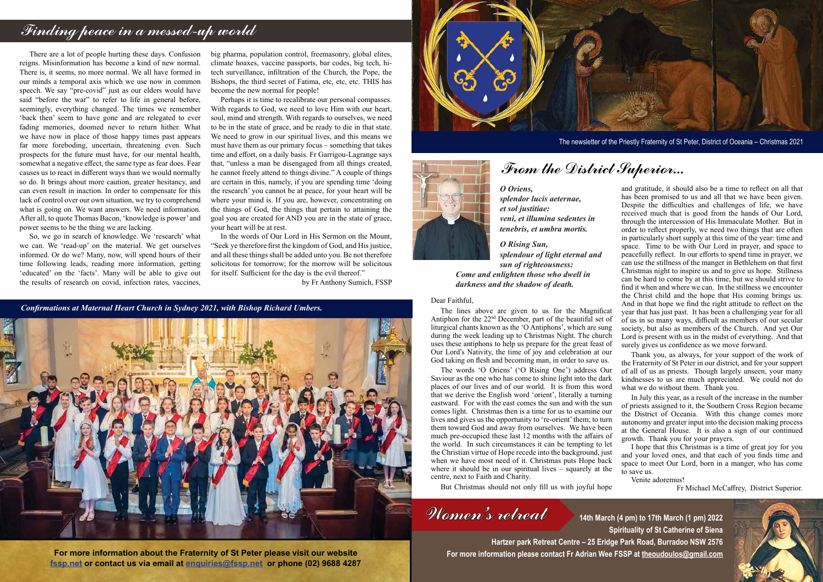Thank you, as always, for your support of the work of the Fraternity of St Peter in our district, and for your support

The lines above are given to us for the Magnificat Antiphon for the 22nd December, part of the beautiful set of liturgical chants known as the 'O Antiphons', which are sung during the week leading up to Christmas Night. The church uses these antiphons to help us prepare for the great feast of Our Lord's Nativity, the time of joy and celebration at our God taking on flesh and becoming man, in order to save us.

Fr Michael McCaffrey, District Superior.



**14th March (4 pm) to 17th March (1 pm) 2022 Spirituality of St Catherine of Siena**

**Hartzer park Retreat Centre – 25 Eridge Park Road, Burradoo NSW 2576 For more information please contact Fr Adrian Wee FSSP at theoudoulos@gmail.com**

and gratitude, it should also be a time to reflect on all that has been promised to us and all that we have been given. Despite the difficulties and challenges of life, we have received much that is good from the hands of Our Lord, through the intercession of His Immaculate Mother. But in order to reflect properly, we need two things that are often in particularly short supply at this time of the year: time and space. Time to be with Our Lord in prayer, and space to peacefully reflect. In our efforts to spend time in prayer, we can use the stillness of the manger in Bethlehem on that first Christmas night to inspire us and to give us hope. Stillness can be hard to come by at this time, but we should strive to find it when and where we can. In the stillness we encounter the Christ child and the hope that His coming brings us. And in that hope we find the right attitude to reflect on the year that has just past. It has been a challenging year for all of us in so many ways, difficult as members of our secular society, but also as members of the Church. And yet Our Lord is present with us in the midst of everything. And that surely gives us confidence as we move forward.

Women's retreat

### *O Oriens,*

*splendor lucis aeternae, et sol justitiae: veni, et illumina sedentes in tenebris, et umbra mortis.*

*O Rising Sun, splendour of light eternal and sun of righteousness: Come and enlighten those who dwell in darkness and the shadow of death.*

of all of us as priests. Though largely unseen, your many kindnesses to us are much appreciated. We could not do what we do without them. Thank you. In July this year, as a result of the increase in the number of priests assigned to it, the Southern Cross Region became the District of Oceania. With this change comes more autonomy and greater input into the decision making process at the General House. It is also a sign of our continued growth. Thank you for your prayers. I hope that this Christmas is a time of great joy for you and your loved ones, and that each of you finds time and space to meet Our Lord, born in a manger, who has come to save us. Venite adoremus! The words 'O Oriens' ('O Rising One') address Our Saviour as the one who has come to shine light into the dark places of our lives and of our world. It is from this word that we derive the English word 'orient', literally a turning eastward. For with the east comes the sun and with the sun comes light. Christmas then is a time for us to examine our lives and gives us the opportunity to 're-orient' them; to turn them toward God and away from ourselves. We have been much pre-occupied these last 12 months with the affairs of the world. In such circumstances it can be tempting to let the Christian virtue of Hope recede into the background, just when we have most need of it. Christmas puts Hope back where it should be in our spiritual lives  $-\overline{\overline{\phantom{a}}}$  squarely at the centre, next to Faith and Charity.

### Dear Faithful,

But Christmas should not only fill us with joyful hope

The newsletter of the Priestly Fraternity of St Peter, District of Oceania – Christmas 2021

## From the District Superior...

**For more information about the Fraternity of St Peter please visit our website fssp.net or contact us via email at enquiries@fssp.net or phone (02) 9688 4287**



# Finding peace in a messed-up world

There are a lot of people hurting these days. Confusion reigns. Misinformation has become a kind of new normal. There is, it seems, no more normal. We all have formed in our minds a temporal axis which we use now in common speech. We say "pre-covid" just as our elders would have said "before the war" to refer to life in general before, seemingly, everything changed. The times we remember 'back then' seem to have gone and are relegated to ever fading memories, doomed never to return hither. What we have now in place of those happy times past appears far more foreboding, uncertain, threatening even. Such prospects for the future must have, for our mental health, somewhat a negative effect, the same type as fear does. Fear causes us to react in different ways than we would normally so do. It brings about more caution, greater hesitancy, and can even result in inaction. In order to compensate for this lack of control over our own situation, we try to comprehend what is going on. We want answers. We need information. After all, to quote Thomas Bacon, 'knowledge is power' and power seems to be the thing we are lacking.

So, we go in search of knowledge. We 'research' what we can. We 'read-up' on the material. We get ourselves informed. Or do we? Many, now, will spend hours of their time following leads, reading more information, getting 'educated' on the 'facts'. Many will be able to give out the results of research on covid, infection rates, vaccines,

big pharma, population control, freemasonry, global elites, climate hoaxes, vaccine passports, bar codes, big tech, hitech surveillance, infiltration of the Church, the Pope, the Bishops, the third secret of Fatima, etc, etc, etc. THIS has become the new normal for people!

Perhaps it is time to recalibrate our personal compasses. With regards to God, we need to love Him with our heart, soul, mind and strength. With regards to ourselves, we need to be in the state of grace, and be ready to die in that state. We need to grow in our spiritual lives, and this means we must have them as our primary focus – something that takes time and effort, on a daily basis. Fr Garrigou-Lagrange says that, "unless a man be disengaged from all things created, he cannot freely attend to things divine." A couple of things are certain in this, namely, if you are spending time 'doing the research' you cannot be at peace, for your heart will be where your mind is. If you are, however, concentrating on the things of God, the things that pertain to attaining the goal you are created for AND you are in the state of grace, your heart will be at rest.

In the words of Our Lord in His Sermon on the Mount, "Seek ye therefore first the kingdom of God, and His justice, and all these things shall be added unto you. Be not therefore solicitous for tomorrow; for the morrow will be solicitous for itself. Sufficient for the day is the evil thereof."

by Fr Anthony Sumich, FSSP

*Confirmations at Maternal Heart Church in Sydney 2021, with Bishop Richard Umbers.*